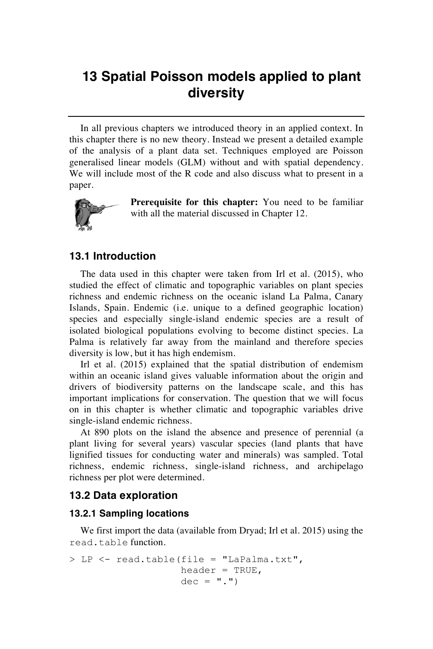## **13 Spatial Poisson models applied to plant diversity**

In all previous chapters we introduced theory in an applied context. In this chapter there is no new theory. Instead we present a detailed example of the analysis of a plant data set. Techniques employed are Poisson generalised linear models (GLM) without and with spatial dependency. We will include most of the R code and also discuss what to present in a paper.



**Prerequisite for this chapter:** You need to be familiar with all the material discussed in Chapter 12.

## **13.1 Introduction**

The data used in this chapter were taken from Irl et al. (2015), who studied the effect of climatic and topographic variables on plant species richness and endemic richness on the oceanic island La Palma, Canary Islands, Spain. Endemic (i.e. unique to a defined geographic location) species and especially single-island endemic species are a result of isolated biological populations evolving to become distinct species. La Palma is relatively far away from the mainland and therefore species diversity is low, but it has high endemism.

Irl et al. (2015) explained that the spatial distribution of endemism within an oceanic island gives valuable information about the origin and drivers of biodiversity patterns on the landscape scale, and this has important implications for conservation. The question that we will focus on in this chapter is whether climatic and topographic variables drive single-island endemic richness.

At 890 plots on the island the absence and presence of perennial (a plant living for several years) vascular species (land plants that have lignified tissues for conducting water and minerals) was sampled. Total richness, endemic richness, single-island richness, and archipelago richness per plot were determined.

## **13.2 Data exploration**

## **13.2.1 Sampling locations**

We first import the data (available from Dryad; Irl et al. 2015) using the read.table function.

```
> LP <- read.table(file = "LaPalma.txt", 
                   header = TRUE,
                   dec = "."
```